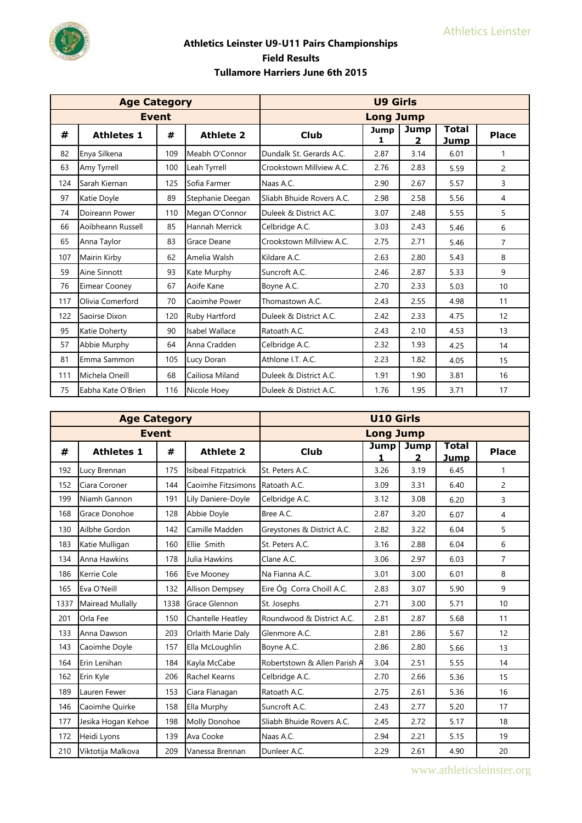

|     | <b>Age Category</b>  |              |                  |                           | <b>U9 Girls</b>  |           |                      |                |
|-----|----------------------|--------------|------------------|---------------------------|------------------|-----------|----------------------|----------------|
|     |                      | <b>Event</b> |                  |                           | <b>Long Jump</b> |           |                      |                |
| #   | <b>Athletes 1</b>    | #            | <b>Athlete 2</b> | <b>Club</b>               | Jump<br>1        | Jump<br>2 | <b>Total</b><br>Jump | <b>Place</b>   |
| 82  | Enya Silkena         | 109          | Meabh O'Connor   | Dundalk St. Gerards A.C.  | 2.87             | 3.14      | 6.01                 | 1              |
| 63  | Amy Tyrrell          | 100          | Leah Tyrrell     | Crookstown Millview A.C.  | 2.76             | 2.83      | 5.59                 | 2              |
| 124 | Sarah Kiernan        | 125          | Sofia Farmer     | Naas A.C.                 | 2.90             | 2.67      | 5.57                 | 3              |
| 97  | Katie Doyle          | 89           | Stephanie Deegan | Sliabh Bhuide Rovers A.C. | 2.98             | 2.58      | 5.56                 | 4              |
| 74  | Doireann Power       | 110          | Megan O'Connor   | Duleek & District A.C.    | 3.07             | 2.48      | 5.55                 | 5              |
| 66  | Aoibheann Russell    | 85           | Hannah Merrick   | Celbridge A.C.            | 3.03             | 2.43      | 5.46                 | 6              |
| 65  | Anna Taylor          | 83           | Grace Deane      | Crookstown Millview A.C.  | 2.75             | 2.71      | 5.46                 | $\overline{7}$ |
| 107 | Mairin Kirby         | 62           | Amelia Walsh     | Kildare A.C.              | 2.63             | 2.80      | 5.43                 | 8              |
| 59  | Aine Sinnott         | 93           | Kate Murphy      | Suncroft A.C.             | 2.46             | 2.87      | 5.33                 | 9              |
| 76  | <b>Eimear Cooney</b> | 67           | Aoife Kane       | Boyne A.C.                | 2.70             | 2.33      | 5.03                 | 10             |
| 117 | Olivia Comerford     | 70           | Caoimhe Power    | Thomastown A.C.           | 2.43             | 2.55      | 4.98                 | 11             |
| 122 | Saoirse Dixon        | 120          | Ruby Hartford    | Duleek & District A.C.    | 2.42             | 2.33      | 4.75                 | 12             |
| 95  | Katie Doherty        | 90           | Isabel Wallace   | Ratoath A.C.              | 2.43             | 2.10      | 4.53                 | 13             |
| 57  | Abbie Murphy         | 64           | Anna Cradden     | Celbridge A.C.            | 2.32             | 1.93      | 4.25                 | 14             |
| 81  | Emma Sammon          | 105          | Lucy Doran       | Athlone I.T. A.C.         | 2.23             | 1.82      | 4.05                 | 15             |
| 111 | Michela Oneill       | 68           | Cailiosa Miland  | Duleek & District A.C.    | 1.91             | 1.90      | 3.81                 | 16             |
| 75  | Eabha Kate O'Brien   | 116          | Nicole Hoey      | Duleek & District A.C.    | 1.76             | 1.95      | 3.71                 | 17             |

|      | <b>Age Category</b> |      |                        |                              | <b>U10 Girls</b> |                      |                      |                |
|------|---------------------|------|------------------------|------------------------------|------------------|----------------------|----------------------|----------------|
|      | <b>Event</b>        |      |                        |                              | <b>Long Jump</b> |                      |                      |                |
| #    | <b>Athletes 1</b>   | #    | <b>Athlete 2</b>       | <b>Club</b>                  | <b>Jump</b><br>1 | Jump<br>$\mathbf{2}$ | <b>Total</b><br>Jump | <b>Place</b>   |
| 192  | Lucy Brennan        | 175  | Isibeal Fitzpatrick    | St. Peters A.C.              | 3.26             | 3.19                 | 6.45                 | $\mathbf{1}$   |
| 152  | Ciara Coroner       | 144  | Caoimhe Fitzsimons     | Ratoath A.C.                 | 3.09             | 3.31                 | 6.40                 | $\overline{2}$ |
| 199  | Niamh Gannon        | 191  | Lily Daniere-Doyle     | Celbridge A.C.               | 3.12             | 3.08                 | 6.20                 | 3              |
| 168  | Grace Donohoe       | 128  | Abbie Doyle            | Bree A.C.                    | 2.87             | 3.20                 | 6.07                 | 4              |
| 130  | Ailbhe Gordon       | 142  | Camille Madden         | Greystones & District A.C.   | 2.82             | 3.22                 | 6.04                 | 5              |
| 183  | Katie Mulligan      | 160  | Ellie Smith            | St. Peters A.C.              | 3.16             | 2.88                 | 6.04                 | 6              |
| 134  | Anna Hawkins        | 178  | Julia Hawkins          | Clane A.C.                   | 3.06             | 2.97                 | 6.03                 | $\overline{7}$ |
| 186  | Kerrie Cole         | 166  | Eve Mooney             | Na Fianna A.C.               | 3.01             | 3.00                 | 6.01                 | 8              |
| 165  | Eva O'Neill         | 132  | <b>Allison Dempsey</b> | Eire Óg Corra Choill A.C.    | 2.83             | 3.07                 | 5.90                 | 9              |
| 1337 | Mairead Mullally    | 1338 | Grace Glennon          | St. Josephs                  | 2.71             | 3.00                 | 5.71                 | 10             |
| 201  | Orla Fee            | 150  | Chantelle Heatley      | Roundwood & District A.C.    | 2.81             | 2.87                 | 5.68                 | 11             |
| 133  | Anna Dawson         | 203  | Orlaith Marie Daly     | Glenmore A.C.                | 2.81             | 2.86                 | 5.67                 | 12             |
| 143  | Caoimhe Doyle       | 157  | Ella McLoughlin        | Boyne A.C.                   | 2.86             | 2.80                 | 5.66                 | 13             |
| 164  | Erin Lenihan        | 184  | Kayla McCabe           | Robertstown & Allen Parish A | 3.04             | 2.51                 | 5.55                 | 14             |
| 162  | Erin Kyle           | 206  | Rachel Kearns          | Celbridge A.C.               | 2.70             | 2.66                 | 5.36                 | 15             |
| 189  | Lauren Fewer        | 153  | Ciara Flanagan         | Ratoath A.C.                 | 2.75             | 2.61                 | 5.36                 | 16             |
| 146  | Caoimhe Quirke      | 158  | Ella Murphy            | Suncroft A.C.                | 2.43             | 2.77                 | 5.20                 | 17             |
| 177  | Jesika Hogan Kehoe  | 198  | Molly Donohoe          | Sliabh Bhuide Rovers A.C.    | 2.45             | 2.72                 | 5.17                 | 18             |
| 172  | Heidi Lyons         | 139  | Ava Cooke              | Naas A.C.                    | 2.94             | 2.21                 | 5.15                 | 19             |
| 210  | Viktotija Malkova   | 209  | Vanessa Brennan        | Dunleer A.C.                 | 2.29             | 2.61                 | 4.90                 | 20             |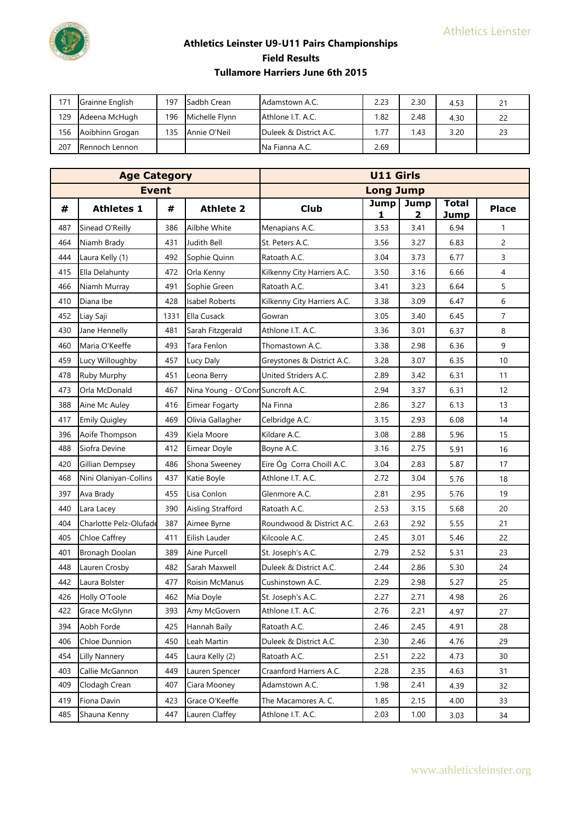

| 171 | Grainne English | 197 | Sadbh Crean    | Adamstown A.C.         | 2.23 | 2.30 | 4.53 |  |
|-----|-----------------|-----|----------------|------------------------|------|------|------|--|
| 129 | Adeena McHugh   | 196 | Michelle Flynn | Athlone I.T. A.C.      | 1.82 | 2.48 | 4.30 |  |
| 156 | Aoibhinn Grogan | 135 | Annie O'Neil   | Duleek & District A.C. | 1.77 | 1.43 | 3.20 |  |
| 207 | Rennoch Lennon  |     |                | <b>INa Fianna A.C.</b> | 2.69 |      |      |  |

|     | <b>Age Category</b>    |      |                                   |                             | <b>U11 Girls</b> |                  |                             |                |  |  |  |  |
|-----|------------------------|------|-----------------------------------|-----------------------------|------------------|------------------|-----------------------------|----------------|--|--|--|--|
|     | <b>Event</b>           |      |                                   |                             | <b>Long Jump</b> |                  |                             |                |  |  |  |  |
| #   | <b>Athletes 1</b>      | #    | <b>Athlete 2</b>                  | <b>Club</b>                 | <b>Jump</b><br>1 | <b>Jump</b><br>2 | <b>Total</b><br><b>Jump</b> | <b>Place</b>   |  |  |  |  |
| 487 | Sinead O'Reilly        | 386  | Ailbhe White                      | Menapians A.C.              | 3.53             | 3.41             | 6.94                        | 1              |  |  |  |  |
| 464 | Niamh Brady            | 431  | Judith Bell                       | St. Peters A.C.             | 3.56             | 3.27             | 6.83                        | $\overline{2}$ |  |  |  |  |
| 444 | Laura Kelly (1)        | 492  | Sophie Quinn                      | Ratoath A.C.                | 3.04             | 3.73             | 6.77                        | 3              |  |  |  |  |
| 415 | Ella Delahunty         | 472  | Orla Kenny                        | Kilkenny City Harriers A.C. | 3.50             | 3.16             | 6.66                        | 4              |  |  |  |  |
| 466 | Niamh Murray           | 491  | Sophie Green                      | Ratoath A.C.                | 3.41             | 3.23             | 6.64                        | 5              |  |  |  |  |
| 410 | Diana Ibe              | 428  | <b>Isabel Roberts</b>             | Kilkenny City Harriers A.C. | 3.38             | 3.09             | 6.47                        | 6              |  |  |  |  |
| 452 | Liay Saji              | 1331 | Ella Cusack                       | Gowran                      | 3.05             | 3.40             | 6.45                        | $\overline{7}$ |  |  |  |  |
| 430 | Jane Hennelly          | 481  | Sarah Fitzgerald                  | Athlone I.T. A.C.           | 3.36             | 3.01             | 6.37                        | 8              |  |  |  |  |
| 460 | Maria O'Keeffe         | 493  | Tara Fenlon                       | Thomastown A.C.             | 3.38             | 2.98             | 6.36                        | 9              |  |  |  |  |
| 459 | Lucy Willoughby        | 457  | Lucy Daly                         | Greystones & District A.C.  | 3.28             | 3.07             | 6.35                        | 10             |  |  |  |  |
| 478 | Ruby Murphy            | 451  | Leona Berry                       | United Striders A.C.        | 2.89             | 3.42             | 6.31                        | 11             |  |  |  |  |
| 473 | Orla McDonald          | 467  | Nina Young - O'Conn Suncroft A.C. |                             | 2.94             | 3.37             | 6.31                        | 12             |  |  |  |  |
| 388 | Aine Mc Auley          | 416  | Eimear Fogarty                    | Na Finna                    | 2.86             | 3.27             | 6.13                        | 13             |  |  |  |  |
| 417 | <b>Emily Quigley</b>   | 469  | Olivia Gallagher                  | Celbridge A.C.              | 3.15             | 2.93             | 6.08                        | 14             |  |  |  |  |
| 396 | Aoife Thompson         | 439  | Kiela Moore                       | Kildare A.C.                | 3.08             | 2.88             | 5.96                        | 15             |  |  |  |  |
| 488 | Siofra Devine          | 412  | Eimear Doyle                      | Boyne A.C.                  | 3.16             | 2.75             | 5.91                        | 16             |  |  |  |  |
| 420 | Gillian Dempsey        | 486  | Shona Sweeney                     | Eire Óg Corra Choill A.C.   | 3.04             | 2.83             | 5.87                        | 17             |  |  |  |  |
| 468 | Nini Olaniyan-Collins  | 437  | Katie Boyle                       | Athlone I.T. A.C.           | 2.72             | 3.04             | 5.76                        | 18             |  |  |  |  |
| 397 | Ava Brady              | 455  | Lisa Conlon                       | Glenmore A.C.               | 2.81             | 2.95             | 5.76                        | 19             |  |  |  |  |
| 440 | Lara Lacey             | 390  | Aisling Strafford                 | Ratoath A.C.                | 2.53             | 3.15             | 5.68                        | 20             |  |  |  |  |
| 404 | Charlotte Pelz-Olufade | 387  | Aimee Byrne                       | Roundwood & District A.C.   | 2.63             | 2.92             | 5.55                        | 21             |  |  |  |  |
| 405 | Chloe Caffrey          | 411  | Eilish Lauder                     | Kilcoole A.C.               | 2.45             | 3.01             | 5.46                        | 22             |  |  |  |  |
| 401 | Bronagh Doolan         | 389  | Aine Purcell                      | St. Joseph's A.C.           | 2.79             | 2.52             | 5.31                        | 23             |  |  |  |  |
| 448 | Lauren Crosby          | 482  | Sarah Maxwell                     | Duleek & District A.C.      | 2.44             | 2.86             | 5.30                        | 24             |  |  |  |  |
| 442 | Laura Bolster          | 477  | Roisin McManus                    | Cushinstown A.C.            | 2.29             | 2.98             | 5.27                        | 25             |  |  |  |  |
| 426 | Holly O'Toole          | 462  | Mia Doyle                         | St. Joseph's A.C.           | 2.27             | 2.71             | 4.98                        | 26             |  |  |  |  |
| 422 | Grace McGlynn          | 393  | Amy McGovern                      | Athlone I.T. A.C.           | 2.76             | 2.21             | 4.97                        | 27             |  |  |  |  |
| 394 | Aobh Forde             | 425  | Hannah Baily                      | Ratoath A.C.                | 2.46             | 2.45             | 4.91                        | 28             |  |  |  |  |
| 406 | Chloe Dunnion          | 450  | Leah Martin                       | Duleek & District A.C.      | 2.30             | 2.46             | 4.76                        | 29             |  |  |  |  |
| 454 | <b>Lilly Nannery</b>   | 445  | Laura Kelly (2)                   | Ratoath A.C.                | 2.51             | 2.22             | 4.73                        | 30             |  |  |  |  |
| 403 | Callie McGannon        | 449  | Lauren Spencer                    | Craanford Harriers A.C.     | 2.28             | 2.35             | 4.63                        | 31             |  |  |  |  |
| 409 | Clodagh Crean          | 407  | Ciara Mooney                      | Adamstown A.C.              | 1.98             | 2.41             | 4.39                        | 32             |  |  |  |  |
| 419 | Fiona Davin            | 423  | Grace O'Keeffe                    | The Macamores A. C.         | 1.85             | 2.15             | 4.00                        | 33             |  |  |  |  |
| 485 | Shauna Kenny           | 447  | Lauren Claffey                    | Athlone I.T. A.C.           | 2.03             | 1.00             | 3.03                        | 34             |  |  |  |  |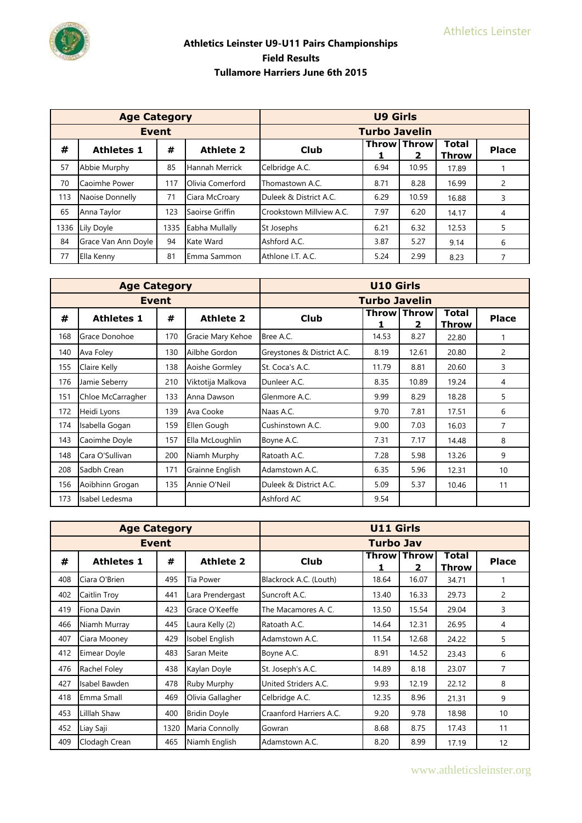|                                                 | <b>Age Category</b> |      |                  |                          | <b>U9 Girls</b>      |                         |                              |                |  |  |  |
|-------------------------------------------------|---------------------|------|------------------|--------------------------|----------------------|-------------------------|------------------------------|----------------|--|--|--|
|                                                 | <b>Event</b>        |      |                  |                          | <b>Turbo Javelin</b> |                         |                              |                |  |  |  |
| #<br><b>Athletes 1</b><br><b>Athlete 2</b><br># |                     |      |                  | Club                     |                      | <b>Throw Throw</b><br>2 | <b>Total</b><br><b>Throw</b> | <b>Place</b>   |  |  |  |
| 57                                              | Abbie Murphy        | 85   | Hannah Merrick   | Celbridge A.C.           | 6.94                 | 10.95                   | 17.89                        |                |  |  |  |
| 70                                              | Caoimhe Power       | 117  | Olivia Comerford | Thomastown A.C.          | 8.71                 | 8.28                    | 16.99                        | 2              |  |  |  |
| 113                                             | Naoise Donnelly     | 71   | Ciara McCroary   | Duleek & District A.C.   | 6.29                 | 10.59                   | 16.88                        | 3              |  |  |  |
| 65                                              | Anna Taylor         | 123  | Saoirse Griffin  | Crookstown Millview A.C. | 7.97                 | 6.20                    | 14.17                        | $\overline{4}$ |  |  |  |
| 1336                                            | Lily Doyle          | 1335 | Eabha Mullally   | St Josephs               | 6.21                 | 6.32                    | 12.53                        | 5              |  |  |  |
| 84                                              | Grace Van Ann Doyle | 94   | Kate Ward        | Ashford A.C.             | 3.87                 | 5.27                    | 9.14                         | 6              |  |  |  |
| 77                                              | Ella Kenny          | 81   | Emma Sammon      | Athlone I.T. A.C.        | 5.24                 | 2.99                    | 8.23                         |                |  |  |  |

|     | <b>Age Category</b> |     |                   |                            | <b>U10 Girls</b>     |                           |                       |              |
|-----|---------------------|-----|-------------------|----------------------------|----------------------|---------------------------|-----------------------|--------------|
|     | <b>Event</b>        |     |                   |                            | <b>Turbo Javelin</b> |                           |                       |              |
| #   | <b>Athletes 1</b>   | #   | <b>Athlete 2</b>  | <b>Club</b>                |                      | <b>Throw   Throw</b><br>2 | Total<br><b>Throw</b> | <b>Place</b> |
| 168 | Grace Donohoe       | 170 | Gracie Mary Kehoe | Bree A.C.                  | 14.53                | 8.27                      | 22.80                 |              |
| 140 | Ava Foley           | 130 | Ailbhe Gordon     | Greystones & District A.C. | 8.19                 | 12.61                     | 20.80                 | 2            |
| 155 | Claire Kelly        | 138 | Aoishe Gormley    | St. Coca's A.C.            | 11.79                | 8.81                      | 20.60                 | 3            |
| 176 | Jamie Seberry       | 210 | Viktotija Malkova | Dunleer A.C.               | 8.35                 | 10.89                     | 19.24                 | 4            |
| 151 | Chloe McCarragher   | 133 | Anna Dawson       | Glenmore A.C.              | 9.99                 | 8.29                      | 18.28                 | 5            |
| 172 | Heidi Lyons         | 139 | Ava Cooke         | Naas A.C.                  | 9.70                 | 7.81                      | 17.51                 | 6            |
| 174 | Isabella Gogan      | 159 | Ellen Gough       | Cushinstown A.C.           | 9.00                 | 7.03                      | 16.03                 | 7            |
| 143 | Caoimhe Doyle       | 157 | Ella McLoughlin   | Boyne A.C.                 | 7.31                 | 7.17                      | 14.48                 | 8            |
| 148 | Cara O'Sullivan     | 200 | Niamh Murphy      | Ratoath A.C.               | 7.28                 | 5.98                      | 13.26                 | 9            |
| 208 | Sadbh Crean         | 171 | Grainne English   | Adamstown A.C.             | 6.35                 | 5.96                      | 12.31                 | 10           |
| 156 | Aoibhinn Grogan     | 135 | Annie O'Neil      | Duleek & District A.C.     | 5.09                 | 5.37                      | 10.46                 | 11           |
| 173 | Isabel Ledesma      |     |                   | Ashford AC                 | 9.54                 |                           |                       |              |

|     | <b>Age Category</b> |              |                     |                         | <b>U11 Girls</b>     |              |       |                |
|-----|---------------------|--------------|---------------------|-------------------------|----------------------|--------------|-------|----------------|
|     |                     | <b>Event</b> |                     |                         | <b>Turbo Jav</b>     |              |       |                |
| #   | <b>Athletes 1</b>   | #            | <b>Athlete 2</b>    | <b>Club</b>             | <b>Throw   Throw</b> | <b>Place</b> |       |                |
| 408 | Ciara O'Brien       | 495          | Tia Power           | Blackrock A.C. (Louth)  | 18.64                | 16.07        | 34.71 |                |
| 402 | Caitlin Troy        | 441          | Lara Prendergast    | Suncroft A.C.           | 13.40                | 16.33        | 29.73 | $\overline{c}$ |
| 419 | Fiona Davin         | 423          | Grace O'Keeffe      | The Macamores A. C.     | 13.50                | 15.54        | 29.04 | 3              |
| 466 | Niamh Murray        | 445          | Laura Kelly (2)     | Ratoath A.C.            | 14.64                | 12.31        | 26.95 | 4              |
| 407 | Ciara Mooney        | 429          | Isobel English      | Adamstown A.C.          | 11.54                | 12.68        | 24.22 | 5              |
| 412 | Eimear Doyle        | 483          | Saran Meite         | Boyne A.C.              | 8.91                 | 14.52        | 23.43 | 6              |
| 476 | Rachel Foley        | 438          | Kaylan Doyle        | St. Joseph's A.C.       | 14.89                | 8.18         | 23.07 | 7              |
| 427 | Isabel Bawden       | 478          | Ruby Murphy         | United Striders A.C.    | 9.93                 | 12.19        | 22.12 | 8              |
| 418 | Emma Small          | 469          | Olivia Gallagher    | Celbridge A.C.          | 12.35                | 8.96         | 21.31 | 9              |
| 453 | Lilllah Shaw        | 400          | <b>Bridin Doyle</b> | Craanford Harriers A.C. | 9.20                 | 9.78         | 18.98 | 10             |
| 452 | Liay Saji           | 1320         | Maria Connolly      | Gowran                  | 8.68                 | 8.75         | 17.43 | 11             |
| 409 | Clodagh Crean       | 465          | Niamh English       | Adamstown A.C.          | 8.20                 | 8.99         | 17.19 | 12             |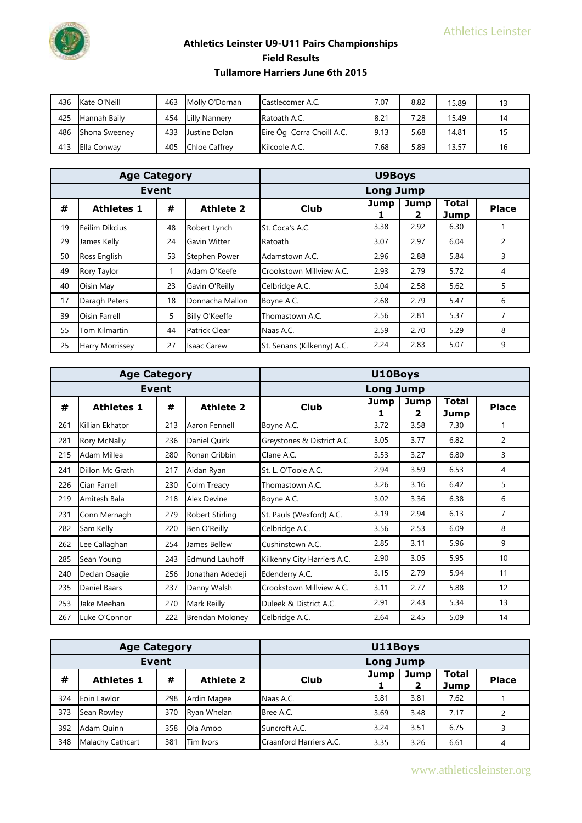

| 436 | Kate O'Neill         | 463 | Molly O'Dornan       | Castlecomer A.C.          | 7.07 | 8.82 | 15.89 |  |
|-----|----------------------|-----|----------------------|---------------------------|------|------|-------|--|
| 425 | Hannah Baily         | 454 | <b>Lilly Nannery</b> | Ratoath A.C.              | 8.21 | 7.28 | 15.49 |  |
| 486 | <b>Shona Sweeney</b> | 433 | Justine Dolan        | Eire Óg Corra Choill A.C. | 9.13 | 5.68 | 14.81 |  |
| 413 | Ella Conway          | 405 | <b>Chloe Caffrey</b> | Kilcoole A.C.             | 7.68 | 5.89 | 13.57 |  |

|    | <b>Age Category</b>    |    |                      |                            | <b>U9Boys</b> |           |                      |              |
|----|------------------------|----|----------------------|----------------------------|---------------|-----------|----------------------|--------------|
|    | <b>Event</b>           |    |                      | <b>Long Jump</b>           |               |           |                      |              |
| #  | <b>Athletes 1</b>      | #  | <b>Athlete 2</b>     | Club                       | Jump          | Jump<br>2 | <b>Total</b><br>Jump | <b>Place</b> |
| 19 | Feilim Dikcius         | 48 | Robert Lynch         | St. Coca's A.C.            | 3.38          | 2.92      | 6.30                 |              |
| 29 | James Kelly            | 24 | Gavin Witter         | Ratoath                    | 3.07          | 2.97      | 6.04                 | 2            |
| 50 | Ross English           | 53 | Stephen Power        | Adamstown A.C.             | 2.96          | 2.88      | 5.84                 | 3            |
| 49 | Rory Taylor            |    | Adam O'Keefe         | Crookstown Millview A.C.   | 2.93          | 2.79      | 5.72                 | 4            |
| 40 | Oisin May              | 23 | Gavin O'Reilly       | Celbridge A.C.             | 3.04          | 2.58      | 5.62                 | 5            |
| 17 | Daragh Peters          | 18 | Donnacha Mallon      | Boyne A.C.                 | 2.68          | 2.79      | 5.47                 | 6            |
| 39 | Oisin Farrell          | 5  | Billy O'Keeffe       | Thomastown A.C.            | 2.56          | 2.81      | 5.37                 | 7            |
| 55 | Tom Kilmartin          | 44 | <b>Patrick Clear</b> | Naas A.C.                  | 2.59          | 2.70      | 5.29                 | 8            |
| 25 | <b>Harry Morrissey</b> | 27 | <b>Isaac Carew</b>   | St. Senans (Kilkenny) A.C. | 2.24          | 2.83      | 5.07                 | 9            |

|     | <b>Age Category</b> |              |                        |                             | U10Boys          |                      |                      |                |
|-----|---------------------|--------------|------------------------|-----------------------------|------------------|----------------------|----------------------|----------------|
|     |                     | <b>Event</b> |                        |                             | <b>Long Jump</b> |                      |                      |                |
| #   | <b>Athletes 1</b>   | #            | <b>Athlete 2</b>       | <b>Club</b>                 | Jump<br>1        | Jump<br>$\mathbf{2}$ | Total<br><b>Jump</b> | <b>Place</b>   |
| 261 | Killian Ekhator     | 213          | Aaron Fennell          | Boyne A.C.                  | 3.72             | 3.58                 | 7.30                 | 1              |
| 281 | Rory McNally        | 236          | Daniel Quirk           | Greystones & District A.C.  | 3.05             | 3.77                 | 6.82                 | 2              |
| 215 | Adam Millea         | 280          | Ronan Cribbin          | Clane A.C.                  | 3.53             | 3.27                 | 6.80                 | 3              |
| 241 | Dillon Mc Grath     | 217          | Aidan Ryan             | St. L. O'Toole A.C.         | 2.94             | 3.59                 | 6.53                 | 4              |
| 226 | Cian Farrell        | 230          | Colm Treacy            | Thomastown A.C.             | 3.26             | 3.16                 | 6.42                 | 5              |
| 219 | Amitesh Bala        | 218          | Alex Devine            | Boyne A.C.                  | 3.02             | 3.36                 | 6.38                 | 6              |
| 231 | Conn Mernagh        | 279          | <b>Robert Stirling</b> | St. Pauls (Wexford) A.C.    | 3.19             | 2.94                 | 6.13                 | $\overline{7}$ |
| 282 | Sam Kelly           | 220          | Ben O'Reilly           | Celbridge A.C.              | 3.56             | 2.53                 | 6.09                 | 8              |
| 262 | Lee Callaghan       | 254          | James Bellew           | Cushinstown A.C.            | 2.85             | 3.11                 | 5.96                 | 9              |
| 285 | Sean Young          | 243          | <b>Edmund Lauhoff</b>  | Kilkenny City Harriers A.C. | 2.90             | 3.05                 | 5.95                 | 10             |
| 240 | Declan Osagie       | 256          | Jonathan Adedeji       | Edenderry A.C.              | 3.15             | 2.79                 | 5.94                 | 11             |
| 235 | <b>Daniel Baars</b> | 237          | Danny Walsh            | Crookstown Millview A.C.    | 3.11             | 2.77                 | 5.88                 | 12             |
| 253 | Jake Meehan         | 270          | Mark Reilly            | Duleek & District A.C.      | 2.91             | 2.43                 | 5.34                 | 13             |
| 267 | Luke O'Connor       | 222          | <b>Brendan Moloney</b> | Celbridge A.C.              | 2.64             | 2.45                 | 5.09                 | 14             |

|     | <b>Age Category</b> |     |                  |                         | U11Boys          |           |              |              |  |  |
|-----|---------------------|-----|------------------|-------------------------|------------------|-----------|--------------|--------------|--|--|
|     | <b>Event</b>        |     |                  |                         | <b>Long Jump</b> |           |              |              |  |  |
| #   | <b>Athletes 1</b>   | #   | <b>Athlete 2</b> | Club                    | Jump             | Jump<br>2 | <b>Total</b> | <b>Place</b> |  |  |
|     |                     |     |                  |                         |                  |           | Jump         |              |  |  |
| 324 | Eoin Lawlor         | 298 | Ardin Magee      | Naas A.C.               | 3.81             | 3.81      | 7.62         |              |  |  |
| 373 | Sean Rowley         | 370 | Ryan Whelan      | Bree A.C.               | 3.69             | 3.48      | 7.17         |              |  |  |
| 392 | Adam Ouinn          | 358 | Ola Amoo         | Suncroft A.C.           | 3.24             | 3.51      | 6.75         |              |  |  |
| 348 | Malachy Cathcart    | 381 | Tim Ivors        | Craanford Harriers A.C. | 3.35             | 3.26      | 6.61         | 4            |  |  |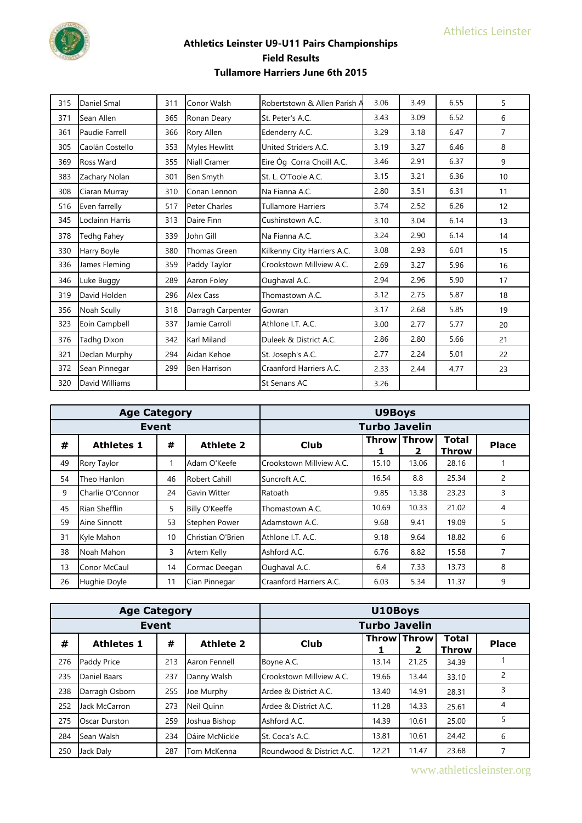

| 315 | Daniel Smal        | 311 | Conor Walsh         | Robertstown & Allen Parish A | 3.06 | 3.49 | 6.55 | 5              |
|-----|--------------------|-----|---------------------|------------------------------|------|------|------|----------------|
| 371 | Sean Allen         | 365 | Ronan Deary         | St. Peter's A.C.             | 3.43 | 3.09 | 6.52 | 6              |
| 361 | Paudie Farrell     | 366 | Rory Allen          | Edenderry A.C.               | 3.29 | 3.18 | 6.47 | $\overline{7}$ |
| 305 | Caolán Costello    | 353 | Myles Hewlitt       | United Striders A.C.         | 3.19 | 3.27 | 6.46 | 8              |
| 369 | Ross Ward          | 355 | Niall Cramer        | Eire Óg Corra Choill A.C.    | 3.46 | 2.91 | 6.37 | 9              |
| 383 | Zachary Nolan      | 301 | Ben Smyth           | St. L. O'Toole A.C.          | 3.15 | 3.21 | 6.36 | 10             |
| 308 | Ciaran Murray      | 310 | Conan Lennon        | Na Fianna A.C.               | 2.80 | 3.51 | 6.31 | 11             |
| 516 | Even farrelly      | 517 | Peter Charles       | <b>Tullamore Harriers</b>    | 3.74 | 2.52 | 6.26 | 12             |
| 345 | Loclainn Harris    | 313 | Daire Finn          | Cushinstown A.C.             | 3.10 | 3.04 | 6.14 | 13             |
| 378 | <b>Tedhg Fahey</b> | 339 | John Gill           | Na Fianna A.C.               | 3.24 | 2.90 | 6.14 | 14             |
| 330 | Harry Boyle        | 380 | Thomas Green        | Kilkenny City Harriers A.C.  | 3.08 | 2.93 | 6.01 | 15             |
| 336 | James Fleming      | 359 | Paddy Taylor        | Crookstown Millview A.C.     | 2.69 | 3.27 | 5.96 | 16             |
| 346 | Luke Buggy         | 289 | Aaron Foley         | Oughaval A.C.                | 2.94 | 2.96 | 5.90 | 17             |
| 319 | David Holden       | 296 | <b>Alex Cass</b>    | Thomastown A.C.              | 3.12 | 2.75 | 5.87 | 18             |
| 356 | Noah Scully        | 318 | Darragh Carpenter   | Gowran                       | 3.17 | 2.68 | 5.85 | 19             |
| 323 | Eoin Campbell      | 337 | Jamie Carroll       | Athlone I.T. A.C.            | 3.00 | 2.77 | 5.77 | 20             |
| 376 | <b>Tadhg Dixon</b> | 342 | <b>Karl Miland</b>  | Duleek & District A.C.       | 2.86 | 2.80 | 5.66 | 21             |
| 321 | Declan Murphy      | 294 | Aidan Kehoe         | St. Joseph's A.C.            | 2.77 | 2.24 | 5.01 | 22             |
| 372 | Sean Pinnegar      | 299 | <b>Ben Harrison</b> | Craanford Harriers A.C.      | 2.33 | 2.44 | 4.77 | 23             |
| 320 | David Williams     |     |                     | <b>St Senans AC</b>          | 3.26 |      |      |                |

| <b>Age Category</b> |                   |    |                      | <b>U9Boys</b>            |       |                         |                       |              |  |
|---------------------|-------------------|----|----------------------|--------------------------|-------|-------------------------|-----------------------|--------------|--|
| <b>Event</b>        |                   |    |                      | <b>Turbo Javelin</b>     |       |                         |                       |              |  |
| #                   | <b>Athletes 1</b> | #  | <b>Athlete 2</b>     | <b>Club</b>              |       | <b>Throw Throw</b><br>2 | <b>Total</b><br>Throw | <b>Place</b> |  |
| 49                  | Rory Taylor       |    | Adam O'Keefe         | Crookstown Millview A.C. | 15.10 | 13.06                   | 28.16                 |              |  |
| 54                  | Theo Hanlon       | 46 | <b>Robert Cahill</b> | Suncroft A.C.            | 16.54 | 8.8                     | 25.34                 | 2            |  |
| 9                   | Charlie O'Connor  | 24 | Gavin Witter         | Ratoath                  | 9.85  | 13.38                   | 23.23                 | 3            |  |
| 45                  | Rian Shefflin     | 5  | Billy O'Keeffe       | Thomastown A.C.          | 10.69 | 10.33                   | 21.02                 | 4            |  |
| 59                  | Aine Sinnott      | 53 | Stephen Power        | Adamstown A.C.           | 9.68  | 9.41                    | 19.09                 | 5            |  |
| 31                  | Kyle Mahon        | 10 | Christian O'Brien    | Athlone I.T. A.C.        | 9.18  | 9.64                    | 18.82                 | 6            |  |
| 38                  | Noah Mahon        | 3  | Artem Kelly          | Ashford A.C.             | 6.76  | 8.82                    | 15.58                 |              |  |
| 13                  | Conor McCaul      | 14 | Cormac Deegan        | Oughaval A.C.            | 6.4   | 7.33                    | 13.73                 | 8            |  |
| 26                  | Hughie Doyle      | 11 | Cian Pinnegar        | Craanford Harriers A.C.  | 6.03  | 5.34                    | 11.37                 | 9            |  |

| <b>Age Category</b> |                   |     |                  | U10Boys                   |             |       |                              |              |  |
|---------------------|-------------------|-----|------------------|---------------------------|-------------|-------|------------------------------|--------------|--|
| Event               |                   |     |                  | <b>Turbo Javelin</b>      |             |       |                              |              |  |
| #                   | <b>Athletes 1</b> | #   | <b>Athlete 2</b> | <b>Club</b>               | Throw Throw | 2     | <b>Total</b><br><b>Throw</b> | <b>Place</b> |  |
| 276                 | Paddy Price       | 213 | Aaron Fennell    | Boyne A.C.                | 13.14       | 21.25 | 34.39                        |              |  |
| 235                 | Daniel Baars      | 237 | Danny Walsh      | Crookstown Millview A.C.  | 19.66       | 13.44 | 33.10                        | 2            |  |
| 238                 | Darragh Osborn    | 255 | Joe Murphy       | Ardee & District A.C.     | 13.40       | 14.91 | 28.31                        | 3            |  |
| 252                 | Jack McCarron     | 273 | Neil Ouinn       | Ardee & District A.C.     | 11.28       | 14.33 | 25.61                        | 4            |  |
| 275                 | Oscar Durston     | 259 | Joshua Bishop    | Ashford A.C.              | 14.39       | 10.61 | 25.00                        | 5            |  |
| 284                 | Sean Walsh        | 234 | Dáire McNickle   | St. Coca's A.C.           | 13.81       | 10.61 | 24.42                        | 6            |  |
| 250                 | Jack Daly         | 287 | Tom McKenna      | Roundwood & District A.C. | 12.21       | 11.47 | 23.68                        |              |  |

www.athleticsleinster.org